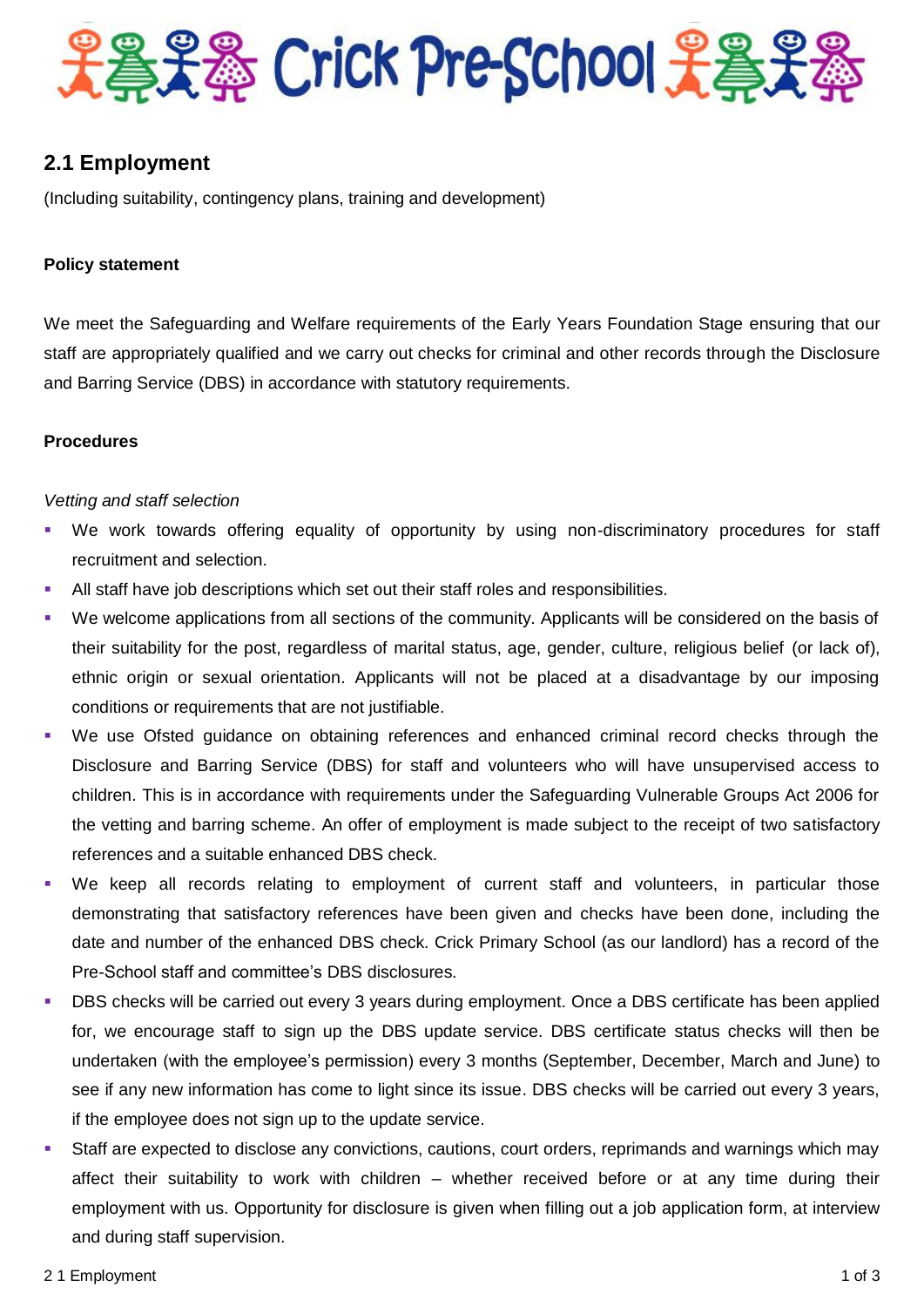

# **2.1 Employment**

(Including suitability, contingency plans, training and development)

# **Policy statement**

We meet the Safeguarding and Welfare requirements of the Early Years Foundation Stage ensuring that our staff are appropriately qualified and we carry out checks for criminal and other records through the Disclosure and Barring Service (DBS) in accordance with statutory requirements.

# **Procedures**

# *Vetting and staff selection*

- We work towards offering equality of opportunity by using non-discriminatory procedures for staff recruitment and selection.
- All staff have job descriptions which set out their staff roles and responsibilities.
- We welcome applications from all sections of the community. Applicants will be considered on the basis of their suitability for the post, regardless of marital status, age, gender, culture, religious belief (or lack of), ethnic origin or sexual orientation. Applicants will not be placed at a disadvantage by our imposing conditions or requirements that are not justifiable.
- We use Ofsted guidance on obtaining references and enhanced criminal record checks through the Disclosure and Barring Service (DBS) for staff and volunteers who will have unsupervised access to children. This is in accordance with requirements under the Safeguarding Vulnerable Groups Act 2006 for the vetting and barring scheme. An offer of employment is made subject to the receipt of two satisfactory references and a suitable enhanced DBS check.
- We keep all records relating to employment of current staff and volunteers, in particular those demonstrating that satisfactory references have been given and checks have been done, including the date and number of the enhanced DBS check. Crick Primary School (as our landlord) has a record of the Pre-School staff and committee's DBS disclosures.
- DBS checks will be carried out every 3 years during employment. Once a DBS certificate has been applied for, we encourage staff to sign up the DBS update service. DBS certificate status checks will then be undertaken (with the employee's permission) every 3 months (September, December, March and June) to see if any new information has come to light since its issue. DBS checks will be carried out every 3 years, if the employee does not sign up to the update service.
- Staff are expected to disclose any convictions, cautions, court orders, reprimands and warnings which may affect their suitability to work with children – whether received before or at any time during their employment with us. Opportunity for disclosure is given when filling out a job application form, at interview and during staff supervision.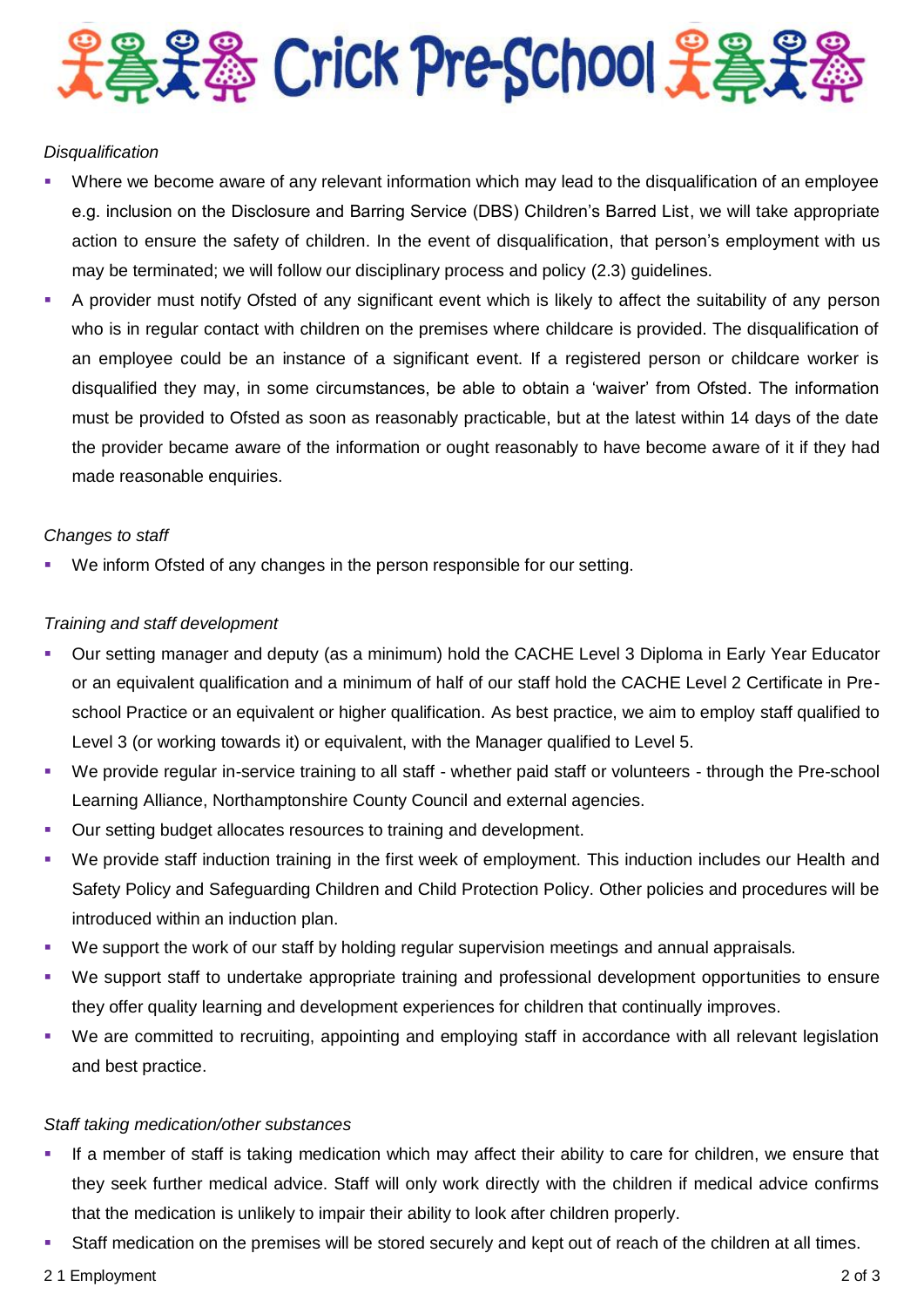

# *Disqualification*

- Where we become aware of any relevant information which may lead to the disqualification of an employee e.g. inclusion on the Disclosure and Barring Service (DBS) Children's Barred List, we will take appropriate action to ensure the safety of children. In the event of disqualification, that person's employment with us may be terminated; we will follow our disciplinary process and policy (2.3) guidelines.
- A provider must notify Ofsted of any significant event which is likely to affect the suitability of any person who is in regular contact with children on the premises where childcare is provided. The disqualification of an employee could be an instance of a significant event. If a registered person or childcare worker is disqualified they may, in some circumstances, be able to obtain a 'waiver' from Ofsted. The information must be provided to Ofsted as soon as reasonably practicable, but at the latest within 14 days of the date the provider became aware of the information or ought reasonably to have become aware of it if they had made reasonable enquiries.

#### *Changes to staff*

We inform Ofsted of any changes in the person responsible for our setting.

# *Training and staff development*

- Our setting manager and deputy (as a minimum) hold the CACHE Level 3 Diploma in Early Year Educator or an equivalent qualification and a minimum of half of our staff hold the CACHE Level 2 Certificate in Preschool Practice or an equivalent or higher qualification. As best practice, we aim to employ staff qualified to Level 3 (or working towards it) or equivalent, with the Manager qualified to Level 5.
- We provide regular in-service training to all staff whether paid staff or volunteers through the Pre-school Learning Alliance, Northamptonshire County Council and external agencies.
- **Our setting budget allocates resources to training and development.**
- We provide staff induction training in the first week of employment. This induction includes our Health and Safety Policy and Safeguarding Children and Child Protection Policy. Other policies and procedures will be introduced within an induction plan.
- We support the work of our staff by holding regular supervision meetings and annual appraisals.
- We support staff to undertake appropriate training and professional development opportunities to ensure they offer quality learning and development experiences for children that continually improves.
- We are committed to recruiting, appointing and employing staff in accordance with all relevant legislation and best practice.

#### *Staff taking medication/other substances*

- If a member of staff is taking medication which may affect their ability to care for children, we ensure that they seek further medical advice. Staff will only work directly with the children if medical advice confirms that the medication is unlikely to impair their ability to look after children properly.
- Staff medication on the premises will be stored securely and kept out of reach of the children at all times.
- 2 1 Employment 2 of 3